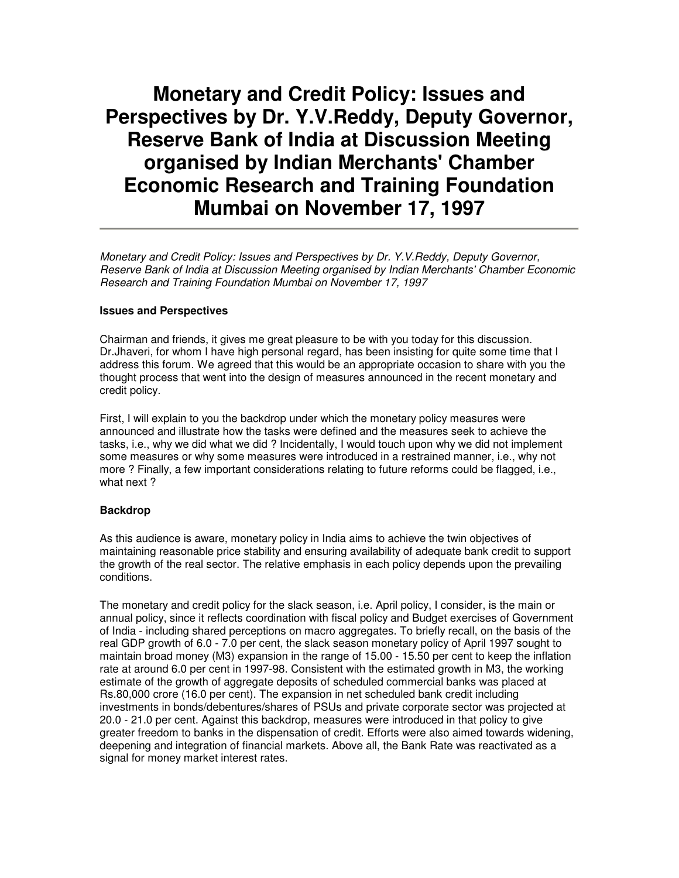# **Monetary and Credit Policy: Issues and Perspectives by Dr. Y.V.Reddy, Deputy Governor, Reserve Bank of India at Discussion Meeting organised by Indian Merchants' Chamber Economic Research and Training Foundation Mumbai on November 17, 1997**

Monetary and Credit Policy: Issues and Perspectives by Dr. Y.V.Reddy, Deputy Governor, Reserve Bank of India at Discussion Meeting organised by Indian Merchants' Chamber Economic Research and Training Foundation Mumbai on November 17, 1997

#### **Issues and Perspectives**

Chairman and friends, it gives me great pleasure to be with you today for this discussion. Dr.Jhaveri, for whom I have high personal regard, has been insisting for quite some time that I address this forum. We agreed that this would be an appropriate occasion to share with you the thought process that went into the design of measures announced in the recent monetary and credit policy.

First, I will explain to you the backdrop under which the monetary policy measures were announced and illustrate how the tasks were defined and the measures seek to achieve the tasks, i.e., why we did what we did ? Incidentally, I would touch upon why we did not implement some measures or why some measures were introduced in a restrained manner, i.e., why not more ? Finally, a few important considerations relating to future reforms could be flagged, i.e., what next?

## **Backdrop**

As this audience is aware, monetary policy in India aims to achieve the twin objectives of maintaining reasonable price stability and ensuring availability of adequate bank credit to support the growth of the real sector. The relative emphasis in each policy depends upon the prevailing conditions.

The monetary and credit policy for the slack season, i.e. April policy, I consider, is the main or annual policy, since it reflects coordination with fiscal policy and Budget exercises of Government of India - including shared perceptions on macro aggregates. To briefly recall, on the basis of the real GDP growth of 6.0 - 7.0 per cent, the slack season monetary policy of April 1997 sought to maintain broad money (M3) expansion in the range of 15.00 - 15.50 per cent to keep the inflation rate at around 6.0 per cent in 1997-98. Consistent with the estimated growth in M3, the working estimate of the growth of aggregate deposits of scheduled commercial banks was placed at Rs.80,000 crore (16.0 per cent). The expansion in net scheduled bank credit including investments in bonds/debentures/shares of PSUs and private corporate sector was projected at 20.0 - 21.0 per cent. Against this backdrop, measures were introduced in that policy to give greater freedom to banks in the dispensation of credit. Efforts were also aimed towards widening, deepening and integration of financial markets. Above all, the Bank Rate was reactivated as a signal for money market interest rates.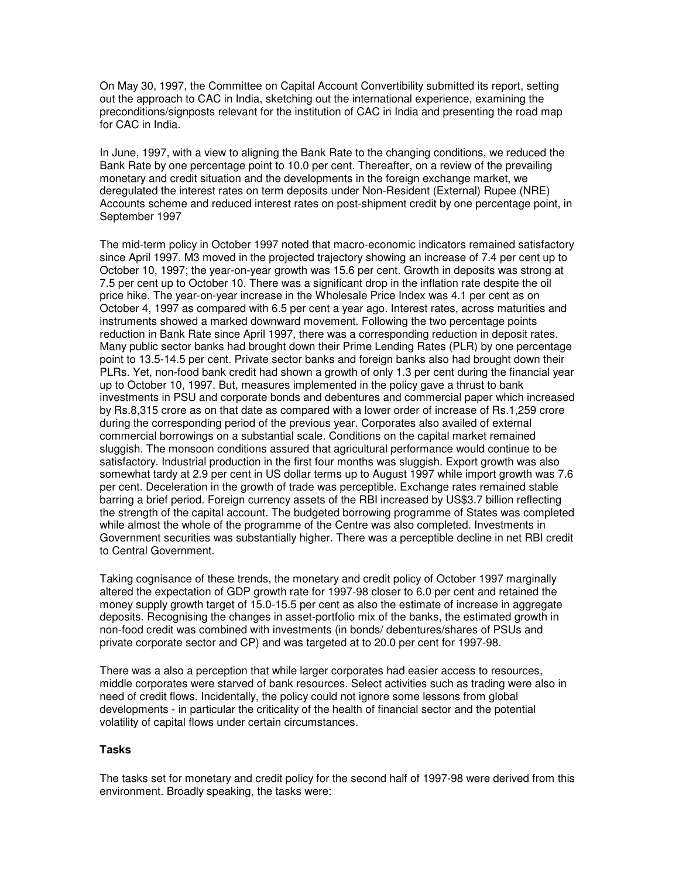On May 30, 1997, the Committee on Capital Account Convertibility submitted its report, setting out the approach to CAC in India, sketching out the international experience, examining the preconditions/signposts relevant for the institution of CAC in India and presenting the road map for CAC in India.

In June, 1997, with a view to aligning the Bank Rate to the changing conditions, we reduced the Bank Rate by one percentage point to 10.0 per cent. Thereafter, on a review of the prevailing monetary and credit situation and the developments in the foreign exchange market, we deregulated the interest rates on term deposits under Non-Resident (External) Rupee (NRE) Accounts scheme and reduced interest rates on post-shipment credit by one percentage point, in September 1997

The mid-term policy in October 1997 noted that macro-economic indicators remained satisfactory since April 1997. M3 moved in the projected trajectory showing an increase of 7.4 per cent up to October 10, 1997; the year-on-year growth was 15.6 per cent. Growth in deposits was strong at 7.5 per cent up to October 10. There was a significant drop in the inflation rate despite the oil price hike. The year-on-year increase in the Wholesale Price Index was 4.1 per cent as on October 4, 1997 as compared with 6.5 per cent a year ago. Interest rates, across maturities and instruments showed a marked downward movement. Following the two percentage points reduction in Bank Rate since April 1997, there was a corresponding reduction in deposit rates. Many public sector banks had brought down their Prime Lending Rates (PLR) by one percentage point to 13.5-14.5 per cent. Private sector banks and foreign banks also had brought down their PLRs. Yet, non-food bank credit had shown a growth of only 1.3 per cent during the financial year up to October 10, 1997. But, measures implemented in the policy gave a thrust to bank investments in PSU and corporate bonds and debentures and commercial paper which increased by Rs.8,315 crore as on that date as compared with a lower order of increase of Rs.1,259 crore during the corresponding period of the previous year. Corporates also availed of external commercial borrowings on a substantial scale. Conditions on the capital market remained sluggish. The monsoon conditions assured that agricultural performance would continue to be satisfactory. Industrial production in the first four months was sluggish. Export growth was also somewhat tardy at 2.9 per cent in US dollar terms up to August 1997 while import growth was 7.6 per cent. Deceleration in the growth of trade was perceptible. Exchange rates remained stable barring a brief period. Foreign currency assets of the RBI increased by US\$3.7 billion reflecting the strength of the capital account. The budgeted borrowing programme of States was completed while almost the whole of the programme of the Centre was also completed. Investments in Government securities was substantially higher. There was a perceptible decline in net RBI credit to Central Government.

Taking cognisance of these trends, the monetary and credit policy of October 1997 marginally altered the expectation of GDP growth rate for 1997-98 closer to 6.0 per cent and retained the money supply growth target of 15.0-15.5 per cent as also the estimate of increase in aggregate deposits. Recognising the changes in asset-portfolio mix of the banks, the estimated growth in non-food credit was combined with investments (in bonds/ debentures/shares of PSUs and private corporate sector and CP) and was targeted at to 20.0 per cent for 1997-98.

There was a also a perception that while larger corporates had easier access to resources, middle corporates were starved of bank resources. Select activities such as trading were also in need of credit flows. Incidentally, the policy could not ignore some lessons from global developments - in particular the criticality of the health of financial sector and the potential volatility of capital flows under certain circumstances.

## **Tasks**

The tasks set for monetary and credit policy for the second half of 1997-98 were derived from this environment. Broadly speaking, the tasks were: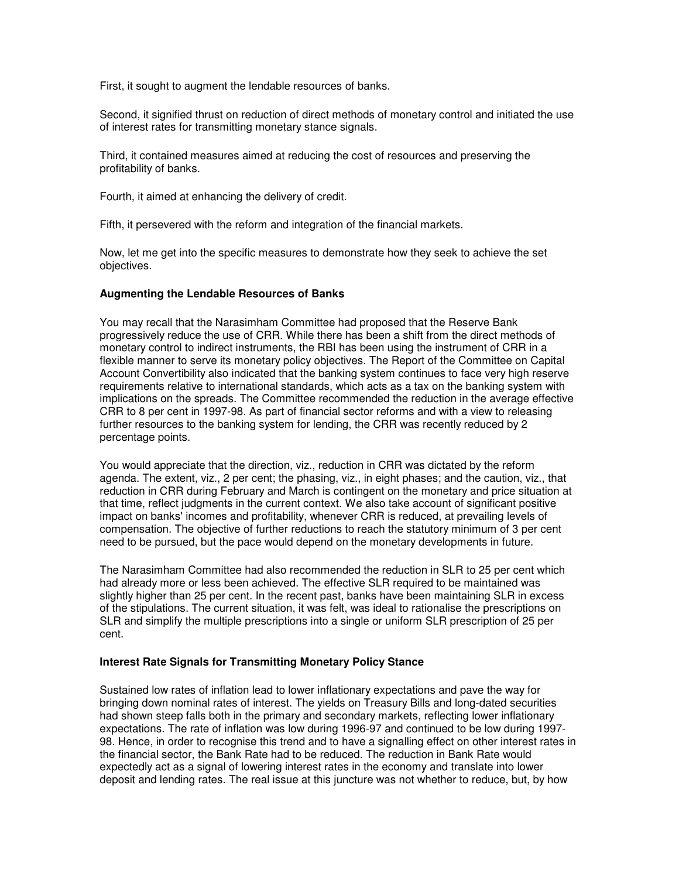First, it sought to augment the lendable resources of banks.

Second, it signified thrust on reduction of direct methods of monetary control and initiated the use of interest rates for transmitting monetary stance signals.

Third, it contained measures aimed at reducing the cost of resources and preserving the profitability of banks.

Fourth, it aimed at enhancing the delivery of credit.

Fifth, it persevered with the reform and integration of the financial markets.

Now, let me get into the specific measures to demonstrate how they seek to achieve the set objectives.

#### **Augmenting the Lendable Resources of Banks**

You may recall that the Narasimham Committee had proposed that the Reserve Bank progressively reduce the use of CRR. While there has been a shift from the direct methods of monetary control to indirect instruments, the RBI has been using the instrument of CRR in a flexible manner to serve its monetary policy objectives. The Report of the Committee on Capital Account Convertibility also indicated that the banking system continues to face very high reserve requirements relative to international standards, which acts as a tax on the banking system with implications on the spreads. The Committee recommended the reduction in the average effective CRR to 8 per cent in 1997-98. As part of financial sector reforms and with a view to releasing further resources to the banking system for lending, the CRR was recently reduced by 2 percentage points.

You would appreciate that the direction, viz., reduction in CRR was dictated by the reform agenda. The extent, viz., 2 per cent; the phasing, viz., in eight phases; and the caution, viz., that reduction in CRR during February and March is contingent on the monetary and price situation at that time, reflect judgments in the current context. We also take account of significant positive impact on banks' incomes and profitability, whenever CRR is reduced, at prevailing levels of compensation. The objective of further reductions to reach the statutory minimum of 3 per cent need to be pursued, but the pace would depend on the monetary developments in future.

The Narasimham Committee had also recommended the reduction in SLR to 25 per cent which had already more or less been achieved. The effective SLR required to be maintained was slightly higher than 25 per cent. In the recent past, banks have been maintaining SLR in excess of the stipulations. The current situation, it was felt, was ideal to rationalise the prescriptions on SLR and simplify the multiple prescriptions into a single or uniform SLR prescription of 25 per cent.

## **Interest Rate Signals for Transmitting Monetary Policy Stance**

Sustained low rates of inflation lead to lower inflationary expectations and pave the way for bringing down nominal rates of interest. The yields on Treasury Bills and long-dated securities had shown steep falls both in the primary and secondary markets, reflecting lower inflationary expectations. The rate of inflation was low during 1996-97 and continued to be low during 1997- 98. Hence, in order to recognise this trend and to have a signalling effect on other interest rates in the financial sector, the Bank Rate had to be reduced. The reduction in Bank Rate would expectedly act as a signal of lowering interest rates in the economy and translate into lower deposit and lending rates. The real issue at this juncture was not whether to reduce, but, by how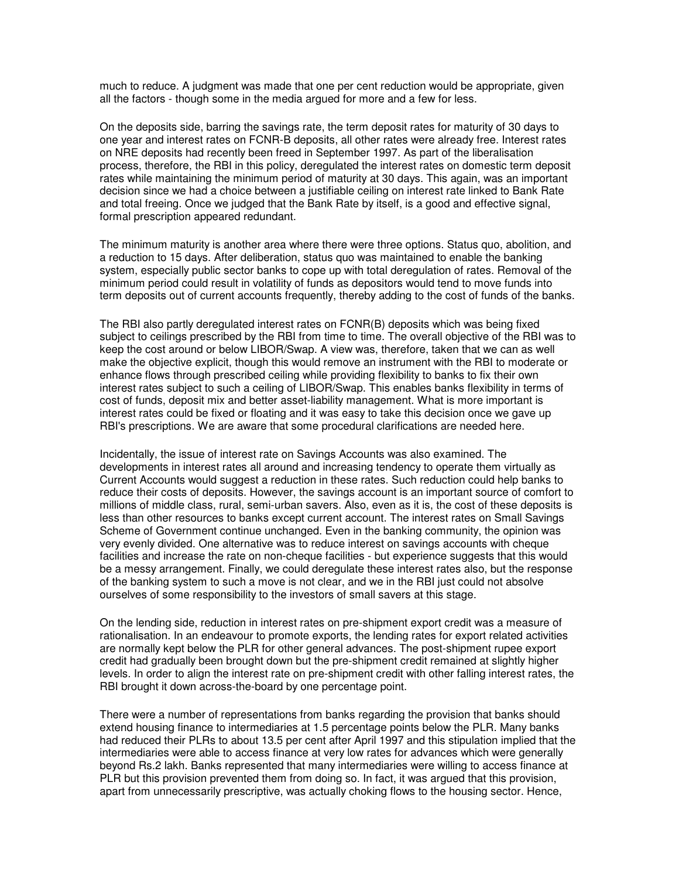much to reduce. A judgment was made that one per cent reduction would be appropriate, given all the factors - though some in the media argued for more and a few for less.

On the deposits side, barring the savings rate, the term deposit rates for maturity of 30 days to one year and interest rates on FCNR-B deposits, all other rates were already free. Interest rates on NRE deposits had recently been freed in September 1997. As part of the liberalisation process, therefore, the RBI in this policy, deregulated the interest rates on domestic term deposit rates while maintaining the minimum period of maturity at 30 days. This again, was an important decision since we had a choice between a justifiable ceiling on interest rate linked to Bank Rate and total freeing. Once we judged that the Bank Rate by itself, is a good and effective signal, formal prescription appeared redundant.

The minimum maturity is another area where there were three options. Status quo, abolition, and a reduction to 15 days. After deliberation, status quo was maintained to enable the banking system, especially public sector banks to cope up with total deregulation of rates. Removal of the minimum period could result in volatility of funds as depositors would tend to move funds into term deposits out of current accounts frequently, thereby adding to the cost of funds of the banks.

The RBI also partly deregulated interest rates on FCNR(B) deposits which was being fixed subject to ceilings prescribed by the RBI from time to time. The overall objective of the RBI was to keep the cost around or below LIBOR/Swap. A view was, therefore, taken that we can as well make the objective explicit, though this would remove an instrument with the RBI to moderate or enhance flows through prescribed ceiling while providing flexibility to banks to fix their own interest rates subject to such a ceiling of LIBOR/Swap. This enables banks flexibility in terms of cost of funds, deposit mix and better asset-liability management. What is more important is interest rates could be fixed or floating and it was easy to take this decision once we gave up RBI's prescriptions. We are aware that some procedural clarifications are needed here.

Incidentally, the issue of interest rate on Savings Accounts was also examined. The developments in interest rates all around and increasing tendency to operate them virtually as Current Accounts would suggest a reduction in these rates. Such reduction could help banks to reduce their costs of deposits. However, the savings account is an important source of comfort to millions of middle class, rural, semi-urban savers. Also, even as it is, the cost of these deposits is less than other resources to banks except current account. The interest rates on Small Savings Scheme of Government continue unchanged. Even in the banking community, the opinion was very evenly divided. One alternative was to reduce interest on savings accounts with cheque facilities and increase the rate on non-cheque facilities - but experience suggests that this would be a messy arrangement. Finally, we could deregulate these interest rates also, but the response of the banking system to such a move is not clear, and we in the RBI just could not absolve ourselves of some responsibility to the investors of small savers at this stage.

On the lending side, reduction in interest rates on pre-shipment export credit was a measure of rationalisation. In an endeavour to promote exports, the lending rates for export related activities are normally kept below the PLR for other general advances. The post-shipment rupee export credit had gradually been brought down but the pre-shipment credit remained at slightly higher levels. In order to align the interest rate on pre-shipment credit with other falling interest rates, the RBI brought it down across-the-board by one percentage point.

There were a number of representations from banks regarding the provision that banks should extend housing finance to intermediaries at 1.5 percentage points below the PLR. Many banks had reduced their PLRs to about 13.5 per cent after April 1997 and this stipulation implied that the intermediaries were able to access finance at very low rates for advances which were generally beyond Rs.2 lakh. Banks represented that many intermediaries were willing to access finance at PLR but this provision prevented them from doing so. In fact, it was argued that this provision, apart from unnecessarily prescriptive, was actually choking flows to the housing sector. Hence,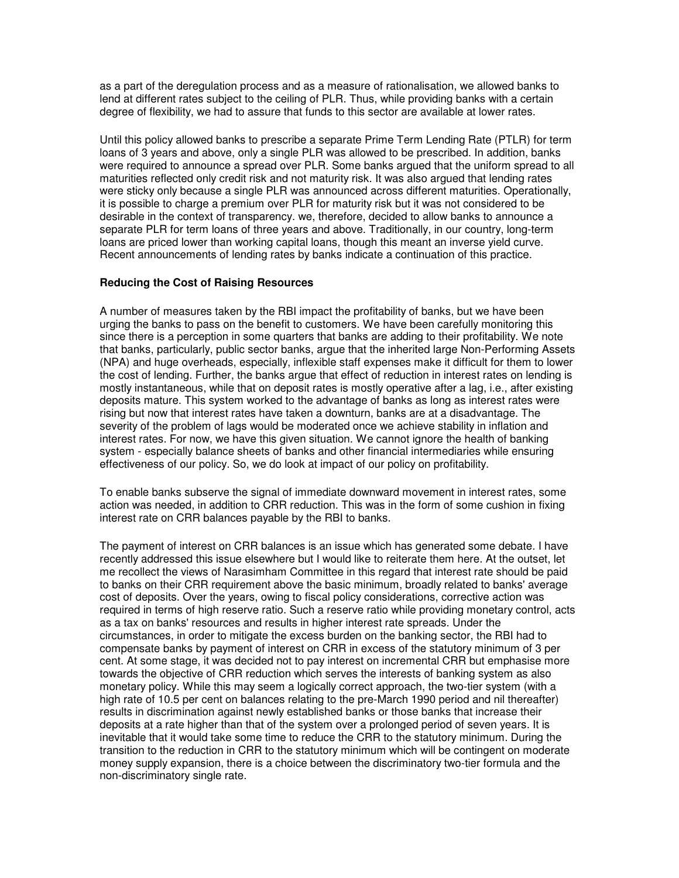as a part of the deregulation process and as a measure of rationalisation, we allowed banks to lend at different rates subject to the ceiling of PLR. Thus, while providing banks with a certain degree of flexibility, we had to assure that funds to this sector are available at lower rates.

Until this policy allowed banks to prescribe a separate Prime Term Lending Rate (PTLR) for term loans of 3 years and above, only a single PLR was allowed to be prescribed. In addition, banks were required to announce a spread over PLR. Some banks argued that the uniform spread to all maturities reflected only credit risk and not maturity risk. It was also argued that lending rates were sticky only because a single PLR was announced across different maturities. Operationally, it is possible to charge a premium over PLR for maturity risk but it was not considered to be desirable in the context of transparency. we, therefore, decided to allow banks to announce a separate PLR for term loans of three years and above. Traditionally, in our country, long-term loans are priced lower than working capital loans, though this meant an inverse yield curve. Recent announcements of lending rates by banks indicate a continuation of this practice.

## **Reducing the Cost of Raising Resources**

A number of measures taken by the RBI impact the profitability of banks, but we have been urging the banks to pass on the benefit to customers. We have been carefully monitoring this since there is a perception in some quarters that banks are adding to their profitability. We note that banks, particularly, public sector banks, argue that the inherited large Non-Performing Assets (NPA) and huge overheads, especially, inflexible staff expenses make it difficult for them to lower the cost of lending. Further, the banks argue that effect of reduction in interest rates on lending is mostly instantaneous, while that on deposit rates is mostly operative after a lag, i.e., after existing deposits mature. This system worked to the advantage of banks as long as interest rates were rising but now that interest rates have taken a downturn, banks are at a disadvantage. The severity of the problem of lags would be moderated once we achieve stability in inflation and interest rates. For now, we have this given situation. We cannot ignore the health of banking system - especially balance sheets of banks and other financial intermediaries while ensuring effectiveness of our policy. So, we do look at impact of our policy on profitability.

To enable banks subserve the signal of immediate downward movement in interest rates, some action was needed, in addition to CRR reduction. This was in the form of some cushion in fixing interest rate on CRR balances payable by the RBI to banks.

The payment of interest on CRR balances is an issue which has generated some debate. I have recently addressed this issue elsewhere but I would like to reiterate them here. At the outset, let me recollect the views of Narasimham Committee in this regard that interest rate should be paid to banks on their CRR requirement above the basic minimum, broadly related to banks' average cost of deposits. Over the years, owing to fiscal policy considerations, corrective action was required in terms of high reserve ratio. Such a reserve ratio while providing monetary control, acts as a tax on banks' resources and results in higher interest rate spreads. Under the circumstances, in order to mitigate the excess burden on the banking sector, the RBI had to compensate banks by payment of interest on CRR in excess of the statutory minimum of 3 per cent. At some stage, it was decided not to pay interest on incremental CRR but emphasise more towards the objective of CRR reduction which serves the interests of banking system as also monetary policy. While this may seem a logically correct approach, the two-tier system (with a high rate of 10.5 per cent on balances relating to the pre-March 1990 period and nil thereafter) results in discrimination against newly established banks or those banks that increase their deposits at a rate higher than that of the system over a prolonged period of seven years. It is inevitable that it would take some time to reduce the CRR to the statutory minimum. During the transition to the reduction in CRR to the statutory minimum which will be contingent on moderate money supply expansion, there is a choice between the discriminatory two-tier formula and the non-discriminatory single rate.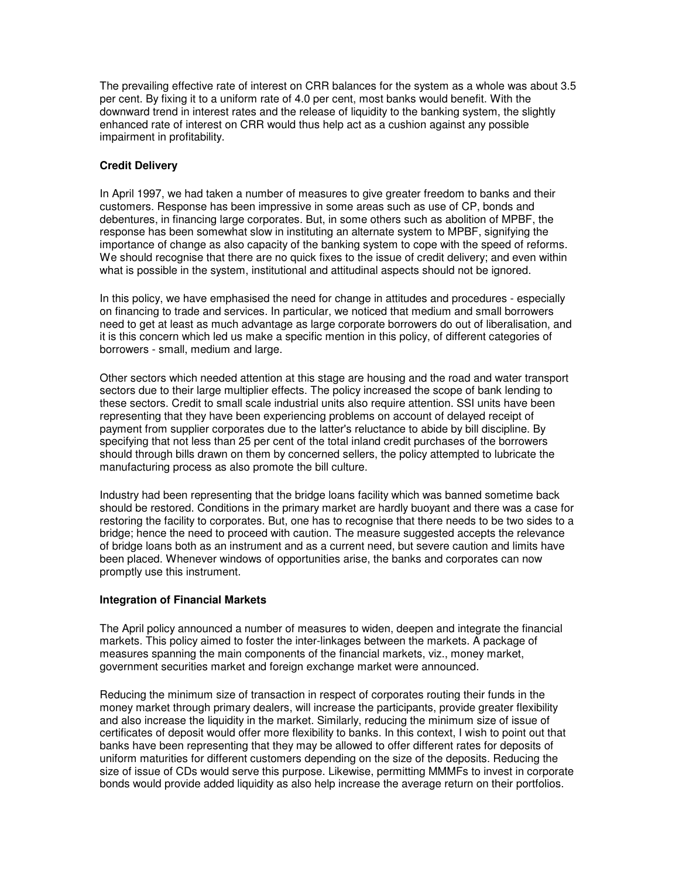The prevailing effective rate of interest on CRR balances for the system as a whole was about 3.5 per cent. By fixing it to a uniform rate of 4.0 per cent, most banks would benefit. With the downward trend in interest rates and the release of liquidity to the banking system, the slightly enhanced rate of interest on CRR would thus help act as a cushion against any possible impairment in profitability.

# **Credit Delivery**

In April 1997, we had taken a number of measures to give greater freedom to banks and their customers. Response has been impressive in some areas such as use of CP, bonds and debentures, in financing large corporates. But, in some others such as abolition of MPBF, the response has been somewhat slow in instituting an alternate system to MPBF, signifying the importance of change as also capacity of the banking system to cope with the speed of reforms. We should recognise that there are no quick fixes to the issue of credit delivery; and even within what is possible in the system, institutional and attitudinal aspects should not be ignored.

In this policy, we have emphasised the need for change in attitudes and procedures - especially on financing to trade and services. In particular, we noticed that medium and small borrowers need to get at least as much advantage as large corporate borrowers do out of liberalisation, and it is this concern which led us make a specific mention in this policy, of different categories of borrowers - small, medium and large.

Other sectors which needed attention at this stage are housing and the road and water transport sectors due to their large multiplier effects. The policy increased the scope of bank lending to these sectors. Credit to small scale industrial units also require attention. SSI units have been representing that they have been experiencing problems on account of delayed receipt of payment from supplier corporates due to the latter's reluctance to abide by bill discipline. By specifying that not less than 25 per cent of the total inland credit purchases of the borrowers should through bills drawn on them by concerned sellers, the policy attempted to lubricate the manufacturing process as also promote the bill culture.

Industry had been representing that the bridge loans facility which was banned sometime back should be restored. Conditions in the primary market are hardly buoyant and there was a case for restoring the facility to corporates. But, one has to recognise that there needs to be two sides to a bridge; hence the need to proceed with caution. The measure suggested accepts the relevance of bridge loans both as an instrument and as a current need, but severe caution and limits have been placed. Whenever windows of opportunities arise, the banks and corporates can now promptly use this instrument.

## **Integration of Financial Markets**

The April policy announced a number of measures to widen, deepen and integrate the financial markets. This policy aimed to foster the inter-linkages between the markets. A package of measures spanning the main components of the financial markets, viz., money market, government securities market and foreign exchange market were announced.

Reducing the minimum size of transaction in respect of corporates routing their funds in the money market through primary dealers, will increase the participants, provide greater flexibility and also increase the liquidity in the market. Similarly, reducing the minimum size of issue of certificates of deposit would offer more flexibility to banks. In this context, I wish to point out that banks have been representing that they may be allowed to offer different rates for deposits of uniform maturities for different customers depending on the size of the deposits. Reducing the size of issue of CDs would serve this purpose. Likewise, permitting MMMFs to invest in corporate bonds would provide added liquidity as also help increase the average return on their portfolios.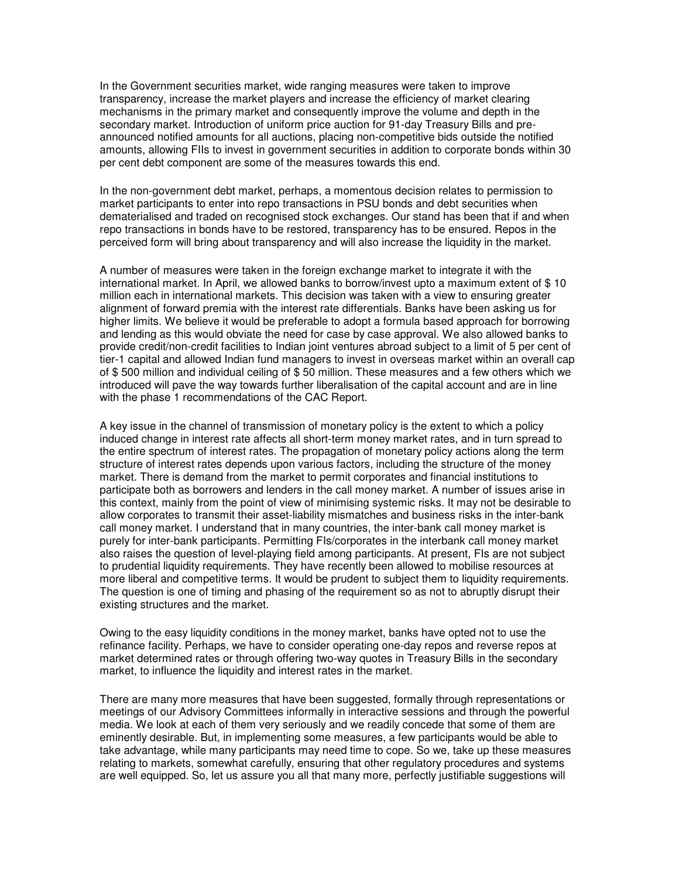In the Government securities market, wide ranging measures were taken to improve transparency, increase the market players and increase the efficiency of market clearing mechanisms in the primary market and consequently improve the volume and depth in the secondary market. Introduction of uniform price auction for 91-day Treasury Bills and preannounced notified amounts for all auctions, placing non-competitive bids outside the notified amounts, allowing FIIs to invest in government securities in addition to corporate bonds within 30 per cent debt component are some of the measures towards this end.

In the non-government debt market, perhaps, a momentous decision relates to permission to market participants to enter into repo transactions in PSU bonds and debt securities when dematerialised and traded on recognised stock exchanges. Our stand has been that if and when repo transactions in bonds have to be restored, transparency has to be ensured. Repos in the perceived form will bring about transparency and will also increase the liquidity in the market.

A number of measures were taken in the foreign exchange market to integrate it with the international market. In April, we allowed banks to borrow/invest upto a maximum extent of \$ 10 million each in international markets. This decision was taken with a view to ensuring greater alignment of forward premia with the interest rate differentials. Banks have been asking us for higher limits. We believe it would be preferable to adopt a formula based approach for borrowing and lending as this would obviate the need for case by case approval. We also allowed banks to provide credit/non-credit facilities to Indian joint ventures abroad subject to a limit of 5 per cent of tier-1 capital and allowed Indian fund managers to invest in overseas market within an overall cap of \$ 500 million and individual ceiling of \$ 50 million. These measures and a few others which we introduced will pave the way towards further liberalisation of the capital account and are in line with the phase 1 recommendations of the CAC Report.

A key issue in the channel of transmission of monetary policy is the extent to which a policy induced change in interest rate affects all short-term money market rates, and in turn spread to the entire spectrum of interest rates. The propagation of monetary policy actions along the term structure of interest rates depends upon various factors, including the structure of the money market. There is demand from the market to permit corporates and financial institutions to participate both as borrowers and lenders in the call money market. A number of issues arise in this context, mainly from the point of view of minimising systemic risks. It may not be desirable to allow corporates to transmit their asset-liability mismatches and business risks in the inter-bank call money market. I understand that in many countries, the inter-bank call money market is purely for inter-bank participants. Permitting FIs/corporates in the interbank call money market also raises the question of level-playing field among participants. At present, FIs are not subject to prudential liquidity requirements. They have recently been allowed to mobilise resources at more liberal and competitive terms. It would be prudent to subject them to liquidity requirements. The question is one of timing and phasing of the requirement so as not to abruptly disrupt their existing structures and the market.

Owing to the easy liquidity conditions in the money market, banks have opted not to use the refinance facility. Perhaps, we have to consider operating one-day repos and reverse repos at market determined rates or through offering two-way quotes in Treasury Bills in the secondary market, to influence the liquidity and interest rates in the market.

There are many more measures that have been suggested, formally through representations or meetings of our Advisory Committees informally in interactive sessions and through the powerful media. We look at each of them very seriously and we readily concede that some of them are eminently desirable. But, in implementing some measures, a few participants would be able to take advantage, while many participants may need time to cope. So we, take up these measures relating to markets, somewhat carefully, ensuring that other regulatory procedures and systems are well equipped. So, let us assure you all that many more, perfectly justifiable suggestions will